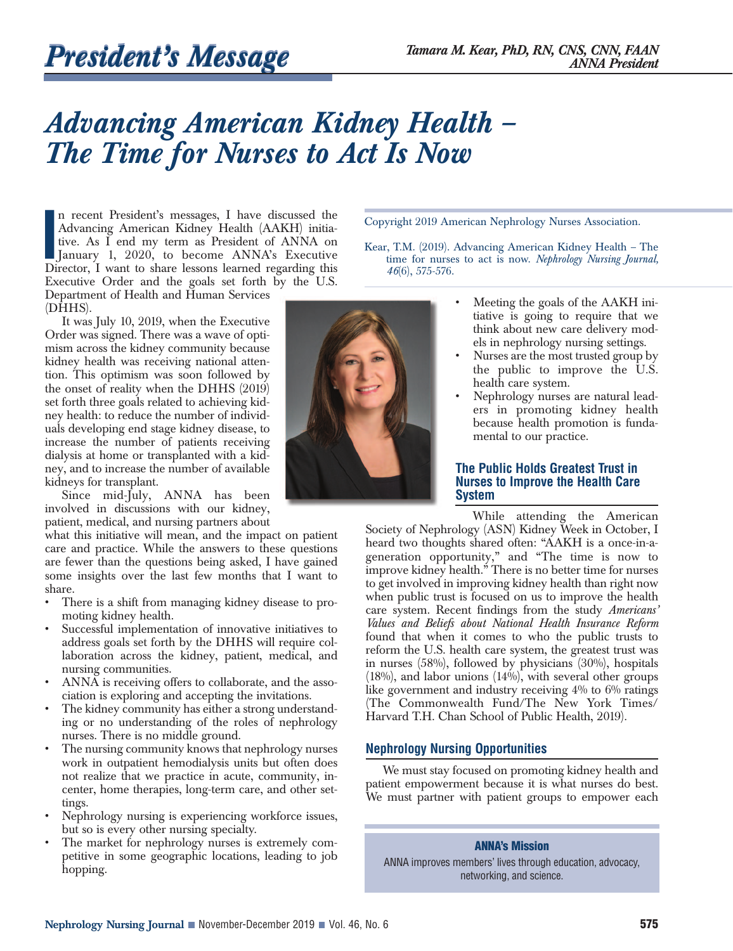# *Advancing American Kidney Health – The Time for Nurses to Act Is Now*

In recent President's messages, I have discussed the Advancing American Kidney Health (AAKH) initiative. As I end my term as President of ANNA on January 1, 2020, to become ANNA's Executive Director, I want to share lesson n recent President's messages, I have discussed the Advancing American Kidney Health (AAKH) initiative. As I end my term as President of ANNA on January 1, 2020, to become ANNA's Executive Executive Order and the goals set forth by the U.S. Department of Health and Human Services (DHHS).

It was July 10, 2019, when the Executive Order was signed. There was a wave of optimism across the kidney community because kidney health was receiving national attention. This optimism was soon followed by the onset of reality when the DHHS (2019) set forth three goals related to achieving kidney health: to reduce the number of individuals developing end stage kidney disease, to increase the number of patients receiving dialysis at home or transplanted with a kidney, and to increase the number of available kidneys for transplant.

Since mid-July, ANNA has been involved in discussions with our kidney, patient, medical, and nursing partners about

what this initiative will mean, and the impact on patient care and practice. While the answers to these questions are fewer than the questions being asked, I have gained some insights over the last few months that I want to share.

- There is a shift from managing kidney disease to promoting kidney health.
- Successful implementation of innovative initiatives to address goals set forth by the DHHS will require collaboration across the kidney, patient, medical, and nursing communities.
- ANNA is receiving offers to collaborate, and the association is exploring and accepting the invitations.
- The kidney community has either a strong understanding or no understanding of the roles of nephrology nurses. There is no middle ground.
- The nursing community knows that nephrology nurses work in outpatient hemodialysis units but often does not realize that we practice in acute, community, incenter, home therapies, long-term care, and other settings.
- Nephrology nursing is experiencing workforce issues, but so is every other nursing specialty.
- The market for nephrology nurses is extremely competitive in some geographic locations, leading to job hopping.



Copyright 2019 American Nephrology Nurses Association.

- Kear, T.M. (2019). Advancing American Kidney Health The time for nurses to act is now. *Nephrology Nursing Journal, 46*(6), 575-576.
	- Meeting the goals of the AAKH initiative is going to require that we think about new care delivery models in nephrology nursing settings.
	- Nurses are the most trusted group by the public to improve the U.S. health care system.
	- Nephrology nurses are natural leaders in promoting kidney health because health promotion is fundamental to our practice.

## **The Public Holds Greatest Trust in Nurses to Improve the Health Care System**

While attending the American

Society of Nephrology (ASN) Kidney Week in October, I heard two thoughts shared often: "AAKH is a once-in-ageneration opportunity," and "The time is now to improve kidney health." There is no better time for nurses to get involved in improving kidney health than right now when public trust is focused on us to improve the health care system. Recent findings from the study *Americans' Values and Beliefs about National Health Insurance Reform* found that when it comes to who the public trusts to reform the U.S. health care system, the greatest trust was in nurses (58%), followed by physicians (30%), hospitals  $(18\%)$ , and labor unions  $(14\%)$ , with several other groups like government and industry receiving 4% to 6% ratings (The Commonwealth Fund/The New York Times/ Harvard T.H. Chan School of Public Health, 2019).

## **Nephrology Nursing Opportunities**

We must stay focused on promoting kidney health and patient empowerment because it is what nurses do best. We must partner with patient groups to empower each

### **ANNA's Mission**

ANNA improves members' lives through education, advocacy, networking, and science.